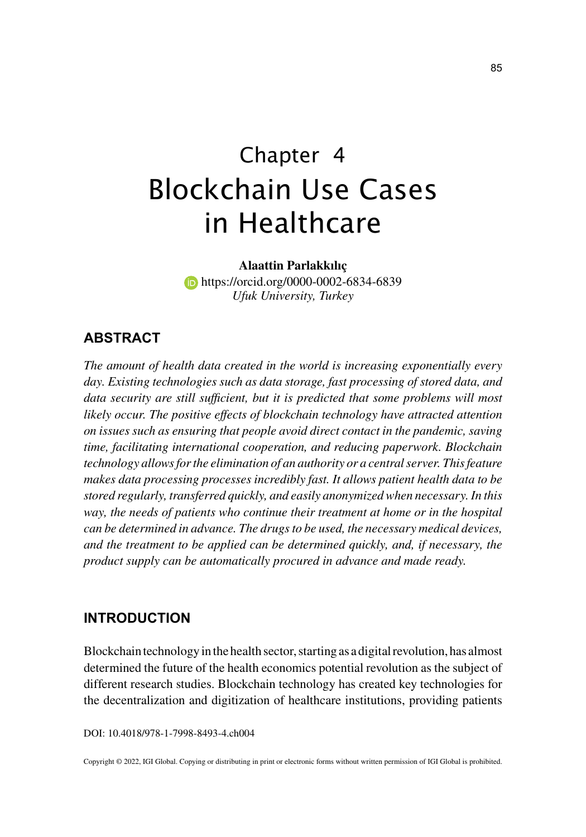# Chapter 4 Blockchain Use Cases in Healthcare

**Alaattin Parlakkılıç**

**https://orcid.org/0000-0002-6834-6839** *Ufuk University, Turkey*

## **ABSTRACT**

*The amount of health data created in the world is increasing exponentially every day. Existing technologies such as data storage, fast processing of stored data, and*  data security are still sufficient, but it is predicted that some problems will most *likely occur. The positive effects of blockchain technology have attracted attention on issues such as ensuring that people avoid direct contact in the pandemic, saving time, facilitating international cooperation, and reducing paperwork. Blockchain technology allows for the elimination of an authority or a central server. This feature makes data processing processes incredibly fast. It allows patient health data to be stored regularly, transferred quickly, and easily anonymized when necessary. In this way, the needs of patients who continue their treatment at home or in the hospital can be determined in advance. The drugs to be used, the necessary medical devices, and the treatment to be applied can be determined quickly, and, if necessary, the product supply can be automatically procured in advance and made ready.*

### **INTRODUCTION**

Blockchain technology in the health sector, starting as a digital revolution, has almost determined the future of the health economics potential revolution as the subject of different research studies. Blockchain technology has created key technologies for the decentralization and digitization of healthcare institutions, providing patients

DOI: 10.4018/978-1-7998-8493-4.ch004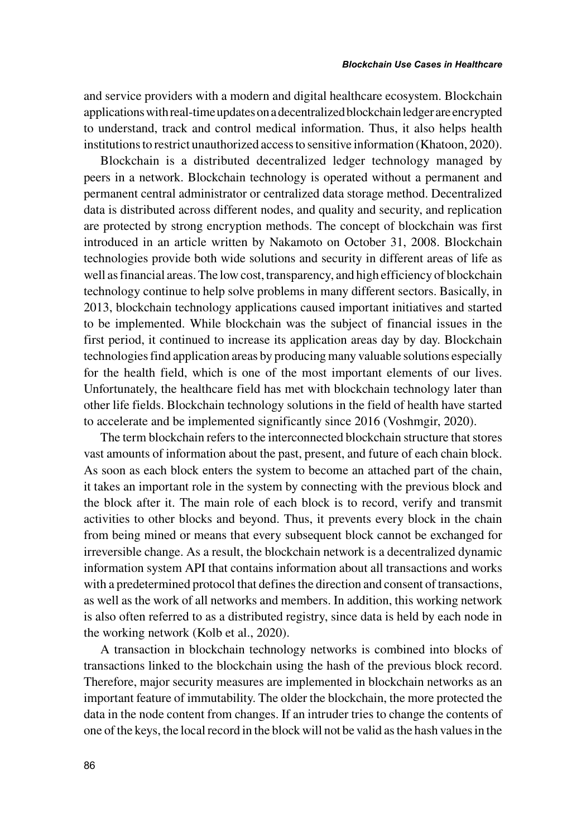and service providers with a modern and digital healthcare ecosystem. Blockchain applications with real-time updates on a decentralized blockchain ledger are encrypted to understand, track and control medical information. Thus, it also helps health institutions to restrict unauthorized access to sensitive information (Khatoon, 2020).

Blockchain is a distributed decentralized ledger technology managed by peers in a network. Blockchain technology is operated without a permanent and permanent central administrator or centralized data storage method. Decentralized data is distributed across different nodes, and quality and security, and replication are protected by strong encryption methods. The concept of blockchain was first introduced in an article written by Nakamoto on October 31, 2008. Blockchain technologies provide both wide solutions and security in different areas of life as well as financial areas. The low cost, transparency, and high efficiency of blockchain technology continue to help solve problems in many different sectors. Basically, in 2013, blockchain technology applications caused important initiatives and started to be implemented. While blockchain was the subject of financial issues in the first period, it continued to increase its application areas day by day. Blockchain technologies find application areas by producing many valuable solutions especially for the health field, which is one of the most important elements of our lives. Unfortunately, the healthcare field has met with blockchain technology later than other life fields. Blockchain technology solutions in the field of health have started to accelerate and be implemented significantly since 2016 (Voshmgir, 2020).

The term blockchain refers to the interconnected blockchain structure that stores vast amounts of information about the past, present, and future of each chain block. As soon as each block enters the system to become an attached part of the chain, it takes an important role in the system by connecting with the previous block and the block after it. The main role of each block is to record, verify and transmit activities to other blocks and beyond. Thus, it prevents every block in the chain from being mined or means that every subsequent block cannot be exchanged for irreversible change. As a result, the blockchain network is a decentralized dynamic information system API that contains information about all transactions and works with a predetermined protocol that defines the direction and consent of transactions, as well as the work of all networks and members. In addition, this working network is also often referred to as a distributed registry, since data is held by each node in the working network (Kolb et al., 2020).

A transaction in blockchain technology networks is combined into blocks of transactions linked to the blockchain using the hash of the previous block record. Therefore, major security measures are implemented in blockchain networks as an important feature of immutability. The older the blockchain, the more protected the data in the node content from changes. If an intruder tries to change the contents of one of the keys, the local record in the block will not be valid as the hash values in the